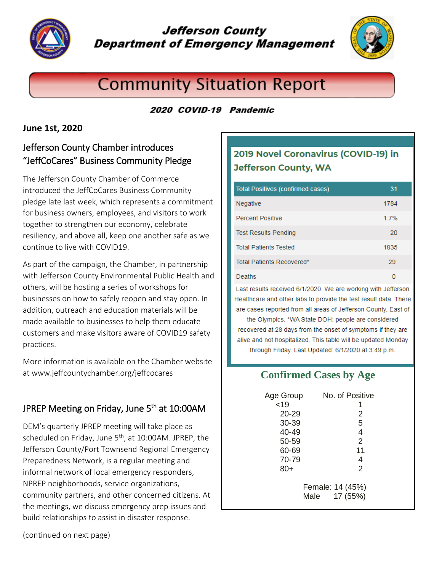

## **Jefferson County Department of Emergency Management**



# **Community Situation Report**

#### 2020 COVID-19 Pandemic

#### **June 1st, 2020**

## Jefferson County Chamber introduces "JeffCoCares" Business Community Pledge

The Jefferson County Chamber of Commerce introduced the JeffCoCares Business Community pledge late last week, which represents a commitment for business owners, employees, and visitors to work together to strengthen our economy, celebrate resiliency, and above all, keep one another safe as we continue to live with COVID19.

As part of the campaign, the Chamber, in partnership with Jefferson County Environmental Public Health and others, will be hosting a series of workshops for businesses on how to safely reopen and stay open. In addition, outreach and education materials will be made available to businesses to help them educate customers and make visitors aware of COVID19 safety practices.

More information is available on the Chamber website at www.jeffcountychamber.org/jeffcocares

## JPREP Meeting on Friday, June 5<sup>th</sup> at 10:00AM

DEM's quarterly JPREP meeting will take place as scheduled on Friday, June 5<sup>th</sup>, at 10:00AM. JPREP, the Jefferson County/Port Townsend Regional Emergency Preparedness Network, is a regular meeting and informal network of local emergency responders, NPREP neighborhoods, service organizations, community partners, and other concerned citizens. At the meetings, we discuss emergency prep issues and build relationships to assist in disaster response.

## 2019 Novel Coronavirus (COVID-19) in **Jefferson County, WA**

| <b>Total Positives (confirmed cases)</b> | 31   |
|------------------------------------------|------|
| Negative                                 | 1784 |
| <b>Percent Positive</b>                  | 1.7% |
| <b>Test Results Pending</b>              | 20   |
| <b>Total Patients Tested</b>             | 1835 |
| Total Patients Recovered*                | 29   |
| Deaths                                   | n    |

Last results received 6/1/2020. We are working with Jefferson Healthcare and other labs to provide the test result data. There are cases reported from all areas of Jefferson County, East of the Olympics. \*WA State DOH: people are considered recovered at 28 days from the onset of symptoms if they are alive and not hospitalized. This table will be updated Monday through Friday. Last Updated: 6/1/2020 at 3:49 p.m.

## **Confirmed Cases by Age**

| Age Group                            | No. of Positive |
|--------------------------------------|-----------------|
| < 19                                 |                 |
| $20 - 29$                            | 2               |
| 30-39                                | 5               |
| 40-49                                | 4               |
| 50-59                                | $\overline{2}$  |
| 60-69                                | 11              |
| 70-79                                | 4               |
| $80+$                                | 2               |
| Female: 14 (45%)<br>17 (55%)<br>Male |                 |

(continued on next page)